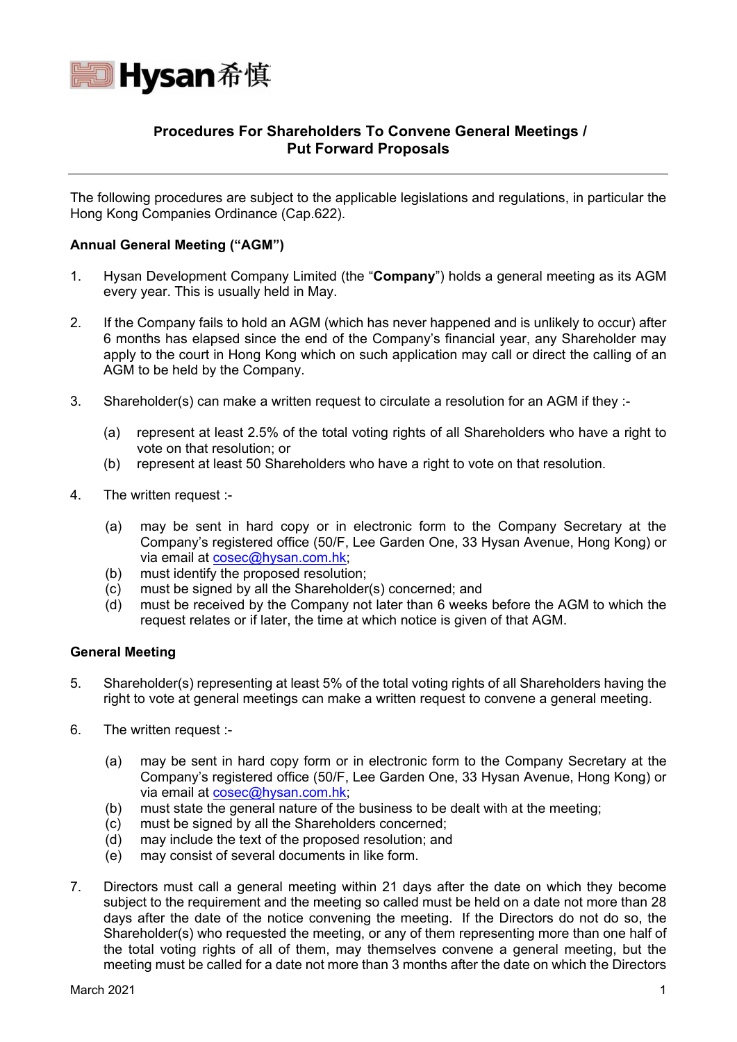

# **Procedures For Shareholders To Convene General Meetings / Put Forward Proposals**

The following procedures are subject to the applicable legislations and regulations, in particular the Hong Kong Companies Ordinance (Cap.622).

### **Annual General Meeting ("AGM")**

- 1. Hysan Development Company Limited (the "**Company**") holds a general meeting as its AGM every year. This is usually held in May.
- 2. If the Company fails to hold an AGM (which has never happened and is unlikely to occur) after 6 months has elapsed since the end of the Company's financial year, any Shareholder may apply to the court in Hong Kong which on such application may call or direct the calling of an AGM to be held by the Company.
- 3. Shareholder(s) can make a written request to circulate a resolution for an AGM if they :-
	- (a) represent at least 2.5% of the total voting rights of all Shareholders who have a right to vote on that resolution; or
	- (b) represent at least 50 Shareholders who have a right to vote on that resolution.
- 4. The written request :-
	- (a) may be sent in hard copy or in electronic form to the Company Secretary at the Company's registered office (50/F, Lee Garden One, 33 Hysan Avenue, Hong Kong) or via email at cosec@hysan.com.hk;
	- (b) must identify the proposed resolution;
	- (c) must be signed by all the Shareholder(s) concerned; and
	- (d) must be received by the Company not later than 6 weeks before the AGM to which the request relates or if later, the time at which notice is given of that AGM.

#### **General Meeting**

- 5. Shareholder(s) representing at least 5% of the total voting rights of all Shareholders having the right to vote at general meetings can make a written request to convene a general meeting.
- 6. The written request :-
	- (a) may be sent in hard copy form or in electronic form to the Company Secretary at the Company's registered office (50/F, Lee Garden One, 33 Hysan Avenue, Hong Kong) or via email at cosec@hysan.com.hk;
	- (b) must state the general nature of the business to be dealt with at the meeting;
	- (c) must be signed by all the Shareholders concerned;
	- (d) may include the text of the proposed resolution; and
	- (e) may consist of several documents in like form.
- 7. Directors must call a general meeting within 21 days after the date on which they become subject to the requirement and the meeting so called must be held on a date not more than 28 days after the date of the notice convening the meeting. If the Directors do not do so, the Shareholder(s) who requested the meeting, or any of them representing more than one half of the total voting rights of all of them, may themselves convene a general meeting, but the meeting must be called for a date not more than 3 months after the date on which the Directors